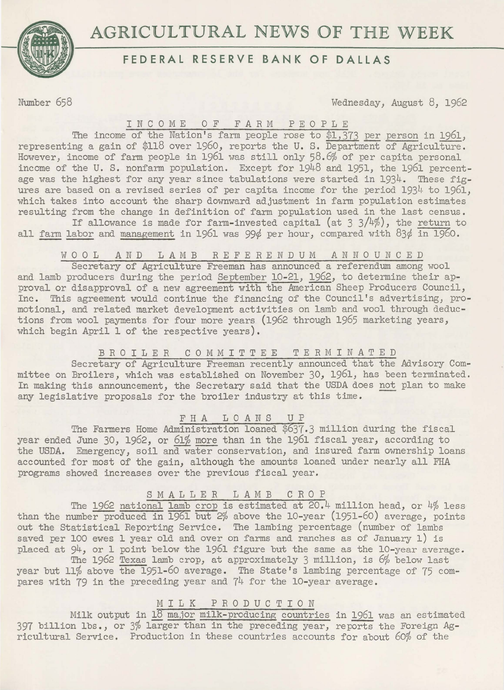



## **FEDERAL RESERVE BANK OF DALLAS**

Number 658 Wednesday, August 8, 1962

# INCOME OF FARM PEOPLE

The income of the Nation's farm *people* rose to \$1,373 per person in 1961, representing a gain of \$118 over 1960, reports the U. S. Department of Agriculture. However, income of farm people in 1961 was still only 58.6% of per capita personal income of the U. S. nonfarm population. Except for 1948 and 1951, the 1961 percentage was the highest for any year since tabulations were started in 1934. These figures are based on a revised series of per capita income for the period  $1934$  to  $1961$ , which takes into account the sharp downward adjustment in farm population estimates resulting from the change in definition of farm population used in the last census.

If allowance is made for farm-invested capital (at  $3 \frac{3}{4\%}$ ), the return to all farm labor and management in 1961 was 99¢ per hour, compared with 83¢ in 1960.

### W 0 0 L AND LAMB REFERENDUM ANNOUNCED

Secretary of Agriculture Freeman has announced a referendum among wool and lamb producers during the period September 10-21, 1962, to determine their approval or disapproval of a new agreement with the American Sheep Producers Council, Inc. This agreement would continue the financing of the Council's advertising, promotional, and related market development activities on lamb and wool through deductions from wool payments for four more years (1962 through 1965 marketing years, which begin April 1 of the respective years).

## BROILER COMMITTEE TERMINATED

Secretary of Agriculture Freeman recently announced that the Advisory Committee on Broilers, which was established on November 30, 1961, has been terminated. In making this announcement, the Secretary said that the USDA does not plan to make any legislative proposals for the broiler industry at this time.

## FHA LOANS UP

The Farmers Home Administration loaned \$637.3 million during the fiscal year ended June 30, 1962, or 61% more than in the 1961 fiscal year, according to the USDA. Emergency, soil and water conservation, and insured farm ownership loans accounted for most of the gain, although the amounts loaned under nearly all FHA programs showed increases over the previous fiscal year.

### SMALLER LAMB CROP

The 1962 national lamb crop is estimated at 20.4 million head, or 4% less than the number produced in 1961 but 2% above the 10-year (1951-60) average, points out the Statistical Reporting Service. The lambing percentage (number of lambs saved per 100 ewes 1 year old and over on farms and ranches as of January 1) is placed at 94, or 1 point below the 1961 figure but the same as the 10-year average.

The 1962 Texas lamb crop, at approximately 3 million, is *6%* below last year but 11% above the 1951-60 average. The State's lambing percentage of 75 compares with 79 in the preceding year and 74 for the 10-year average.

## MILK PRODUCTION

Milk output in lS major milk-producing countries in 1961 was an estimated 397 billion lbs., or 3% larger than in the preceding year, reports the Foreign *Ag*ricultural Service. Production in these countries accounts for about 60% of the